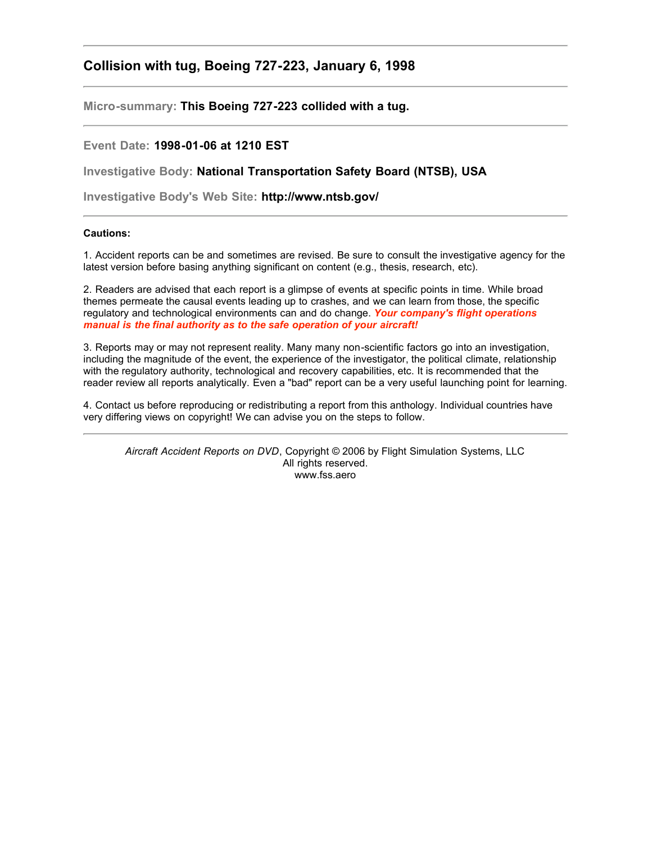## **Collision with tug, Boeing 727-223, January 6, 1998**

**Micro-summary: This Boeing 727-223 collided with a tug.**

## **Event Date: 1998-01-06 at 1210 EST**

**Investigative Body: National Transportation Safety Board (NTSB), USA**

**Investigative Body's Web Site: http://www.ntsb.gov/**

## **Cautions:**

1. Accident reports can be and sometimes are revised. Be sure to consult the investigative agency for the latest version before basing anything significant on content (e.g., thesis, research, etc).

2. Readers are advised that each report is a glimpse of events at specific points in time. While broad themes permeate the causal events leading up to crashes, and we can learn from those, the specific regulatory and technological environments can and do change. *Your company's flight operations manual is the final authority as to the safe operation of your aircraft!*

3. Reports may or may not represent reality. Many many non-scientific factors go into an investigation, including the magnitude of the event, the experience of the investigator, the political climate, relationship with the regulatory authority, technological and recovery capabilities, etc. It is recommended that the reader review all reports analytically. Even a "bad" report can be a very useful launching point for learning.

4. Contact us before reproducing or redistributing a report from this anthology. Individual countries have very differing views on copyright! We can advise you on the steps to follow.

*Aircraft Accident Reports on DVD*, Copyright © 2006 by Flight Simulation Systems, LLC All rights reserved. www.fss.aero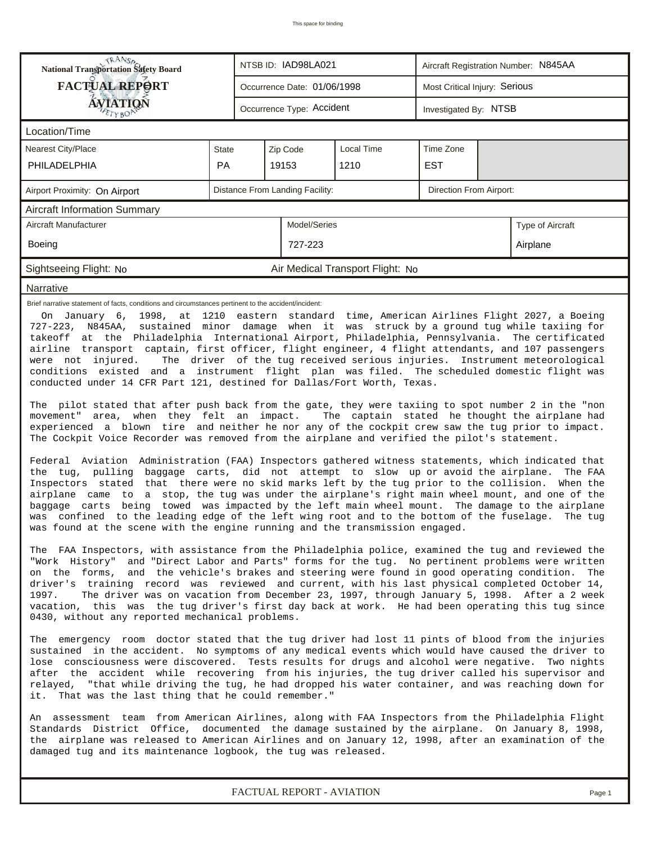| <b>National Transportation Safety Board</b>                                                                                                                                                                                                                                                                                                                                                                                                                                                                                                                                                                                                                                                                                                                                                                                                                                                                                                                                                                                                                                                                                                                                                                                                                                                                                                                                                                                                                                                                                                                                                                                                                                                                                                                                                                                                                                                                                                                                                                                                                                                                                                                                                                                                                                                                                                                                                                                                                                                                                                                                                                                                                                                                                                                                                                                                                                                                                                                                                                                                                                                                                                                                                                                                                                      |                                                    | NTSB ID: IAD98LA021 |                                | Aircraft Registration Number: N845AA |                               |  |                  |  |  |  |
|----------------------------------------------------------------------------------------------------------------------------------------------------------------------------------------------------------------------------------------------------------------------------------------------------------------------------------------------------------------------------------------------------------------------------------------------------------------------------------------------------------------------------------------------------------------------------------------------------------------------------------------------------------------------------------------------------------------------------------------------------------------------------------------------------------------------------------------------------------------------------------------------------------------------------------------------------------------------------------------------------------------------------------------------------------------------------------------------------------------------------------------------------------------------------------------------------------------------------------------------------------------------------------------------------------------------------------------------------------------------------------------------------------------------------------------------------------------------------------------------------------------------------------------------------------------------------------------------------------------------------------------------------------------------------------------------------------------------------------------------------------------------------------------------------------------------------------------------------------------------------------------------------------------------------------------------------------------------------------------------------------------------------------------------------------------------------------------------------------------------------------------------------------------------------------------------------------------------------------------------------------------------------------------------------------------------------------------------------------------------------------------------------------------------------------------------------------------------------------------------------------------------------------------------------------------------------------------------------------------------------------------------------------------------------------------------------------------------------------------------------------------------------------------------------------------------------------------------------------------------------------------------------------------------------------------------------------------------------------------------------------------------------------------------------------------------------------------------------------------------------------------------------------------------------------------------------------------------------------------------------------------------------------|----------------------------------------------------|---------------------|--------------------------------|--------------------------------------|-------------------------------|--|------------------|--|--|--|
| <b>FACTUAL REPORT</b>                                                                                                                                                                                                                                                                                                                                                                                                                                                                                                                                                                                                                                                                                                                                                                                                                                                                                                                                                                                                                                                                                                                                                                                                                                                                                                                                                                                                                                                                                                                                                                                                                                                                                                                                                                                                                                                                                                                                                                                                                                                                                                                                                                                                                                                                                                                                                                                                                                                                                                                                                                                                                                                                                                                                                                                                                                                                                                                                                                                                                                                                                                                                                                                                                                                            |                                                    |                     | Occurrence Date: 01/06/1998    |                                      | Most Critical Injury: Serious |  |                  |  |  |  |
| <b>ÁVJATIQN</b>                                                                                                                                                                                                                                                                                                                                                                                                                                                                                                                                                                                                                                                                                                                                                                                                                                                                                                                                                                                                                                                                                                                                                                                                                                                                                                                                                                                                                                                                                                                                                                                                                                                                                                                                                                                                                                                                                                                                                                                                                                                                                                                                                                                                                                                                                                                                                                                                                                                                                                                                                                                                                                                                                                                                                                                                                                                                                                                                                                                                                                                                                                                                                                                                                                                                  | Occurrence Type: Accident<br>Investigated By: NTSB |                     |                                |                                      |                               |  |                  |  |  |  |
| Location/Time                                                                                                                                                                                                                                                                                                                                                                                                                                                                                                                                                                                                                                                                                                                                                                                                                                                                                                                                                                                                                                                                                                                                                                                                                                                                                                                                                                                                                                                                                                                                                                                                                                                                                                                                                                                                                                                                                                                                                                                                                                                                                                                                                                                                                                                                                                                                                                                                                                                                                                                                                                                                                                                                                                                                                                                                                                                                                                                                                                                                                                                                                                                                                                                                                                                                    |                                                    |                     |                                |                                      |                               |  |                  |  |  |  |
| <b>Nearest City/Place</b>                                                                                                                                                                                                                                                                                                                                                                                                                                                                                                                                                                                                                                                                                                                                                                                                                                                                                                                                                                                                                                                                                                                                                                                                                                                                                                                                                                                                                                                                                                                                                                                                                                                                                                                                                                                                                                                                                                                                                                                                                                                                                                                                                                                                                                                                                                                                                                                                                                                                                                                                                                                                                                                                                                                                                                                                                                                                                                                                                                                                                                                                                                                                                                                                                                                        | State                                              |                     | Zip Code                       |                                      |                               |  |                  |  |  |  |
| PHILADELPHIA                                                                                                                                                                                                                                                                                                                                                                                                                                                                                                                                                                                                                                                                                                                                                                                                                                                                                                                                                                                                                                                                                                                                                                                                                                                                                                                                                                                                                                                                                                                                                                                                                                                                                                                                                                                                                                                                                                                                                                                                                                                                                                                                                                                                                                                                                                                                                                                                                                                                                                                                                                                                                                                                                                                                                                                                                                                                                                                                                                                                                                                                                                                                                                                                                                                                     | <b>PA</b>                                          |                     | 19153                          | 1210                                 | <b>EST</b>                    |  |                  |  |  |  |
| Distance From Landing Facility:<br>Direction From Airport:<br>Airport Proximity: On Airport                                                                                                                                                                                                                                                                                                                                                                                                                                                                                                                                                                                                                                                                                                                                                                                                                                                                                                                                                                                                                                                                                                                                                                                                                                                                                                                                                                                                                                                                                                                                                                                                                                                                                                                                                                                                                                                                                                                                                                                                                                                                                                                                                                                                                                                                                                                                                                                                                                                                                                                                                                                                                                                                                                                                                                                                                                                                                                                                                                                                                                                                                                                                                                                      |                                                    |                     |                                |                                      |                               |  |                  |  |  |  |
| Aircraft Information Summary                                                                                                                                                                                                                                                                                                                                                                                                                                                                                                                                                                                                                                                                                                                                                                                                                                                                                                                                                                                                                                                                                                                                                                                                                                                                                                                                                                                                                                                                                                                                                                                                                                                                                                                                                                                                                                                                                                                                                                                                                                                                                                                                                                                                                                                                                                                                                                                                                                                                                                                                                                                                                                                                                                                                                                                                                                                                                                                                                                                                                                                                                                                                                                                                                                                     |                                                    |                     |                                |                                      |                               |  |                  |  |  |  |
| Aircraft Manufacturer                                                                                                                                                                                                                                                                                                                                                                                                                                                                                                                                                                                                                                                                                                                                                                                                                                                                                                                                                                                                                                                                                                                                                                                                                                                                                                                                                                                                                                                                                                                                                                                                                                                                                                                                                                                                                                                                                                                                                                                                                                                                                                                                                                                                                                                                                                                                                                                                                                                                                                                                                                                                                                                                                                                                                                                                                                                                                                                                                                                                                                                                                                                                                                                                                                                            |                                                    |                     | Model/Series                   |                                      |                               |  | Type of Aircraft |  |  |  |
| Boeing                                                                                                                                                                                                                                                                                                                                                                                                                                                                                                                                                                                                                                                                                                                                                                                                                                                                                                                                                                                                                                                                                                                                                                                                                                                                                                                                                                                                                                                                                                                                                                                                                                                                                                                                                                                                                                                                                                                                                                                                                                                                                                                                                                                                                                                                                                                                                                                                                                                                                                                                                                                                                                                                                                                                                                                                                                                                                                                                                                                                                                                                                                                                                                                                                                                                           |                                                    |                     | 727-223                        |                                      |                               |  | Airplane         |  |  |  |
| Sightseeing Flight: No                                                                                                                                                                                                                                                                                                                                                                                                                                                                                                                                                                                                                                                                                                                                                                                                                                                                                                                                                                                                                                                                                                                                                                                                                                                                                                                                                                                                                                                                                                                                                                                                                                                                                                                                                                                                                                                                                                                                                                                                                                                                                                                                                                                                                                                                                                                                                                                                                                                                                                                                                                                                                                                                                                                                                                                                                                                                                                                                                                                                                                                                                                                                                                                                                                                           |                                                    |                     |                                | Air Medical Transport Flight: No     |                               |  |                  |  |  |  |
| Narrative                                                                                                                                                                                                                                                                                                                                                                                                                                                                                                                                                                                                                                                                                                                                                                                                                                                                                                                                                                                                                                                                                                                                                                                                                                                                                                                                                                                                                                                                                                                                                                                                                                                                                                                                                                                                                                                                                                                                                                                                                                                                                                                                                                                                                                                                                                                                                                                                                                                                                                                                                                                                                                                                                                                                                                                                                                                                                                                                                                                                                                                                                                                                                                                                                                                                        |                                                    |                     |                                |                                      |                               |  |                  |  |  |  |
| Brief narrative statement of facts, conditions and circumstances pertinent to the accident/incident:<br>On January 6, 1998, at 1210 eastern standard time, American Airlines Flight 2027, a Boeing<br>727-223, N845AA, sustained minor damage when it was struck by a ground tug while taxiing for<br>takeoff at the Philadelphia International Airport, Philadelphia, Pennsylvania. The certificated<br>airline transport captain, first officer, flight engineer, 4 flight attendants, and 107 passengers<br>The driver of the tug received serious injuries. Instrument meteorological<br>were not injured.<br>conditions existed and a instrument flight plan was filed. The scheduled domestic flight was<br>conducted under 14 CFR Part 121, destined for Dallas/Fort Worth, Texas.<br>The pilot stated that after push back from the gate, they were taxiing to spot number 2 in the "non<br>movement" area, when they felt an impact. The captain stated he thought the airplane had<br>experienced a blown tire and neither he nor any of the cockpit crew saw the tug prior to impact.<br>The Cockpit Voice Recorder was removed from the airplane and verified the pilot's statement.<br>Federal Aviation Administration (FAA) Inspectors gathered witness statements, which indicated that<br>the tug, pulling baggage carts, did not attempt to slow up or avoid the airplane.<br>The FAA<br>Inspectors stated that there were no skid marks left by the tug prior to the collision. When the<br>airplane came to a stop, the tug was under the airplane's right main wheel mount, and one of the<br>baggage carts being towed was impacted by the left main wheel mount. The damage to the airplane<br>was confined to the leading edge of the left wing root and to the bottom of the fuselage. The tug<br>was found at the scene with the engine running and the transmission engaged.<br>The FAA Inspectors, with assistance from the Philadelphia police, examined the tug and reviewed the<br>"Work History" and "Direct Labor and Parts" forms for the tug. No pertinent problems were written<br>on the forms, and the vehicle's brakes and steering were found in good operating condition. The<br>driver's training record was reviewed and current, with his last physical completed October 14,<br>1997.<br>The driver was on vacation from December 23, 1997, through January 5, 1998. After a 2 week<br>vacation, this was the tug driver's first day back at work. He had been operating this tug since<br>0430, without any reported mechanical problems.<br>The emergency room doctor stated that the tug driver had lost 11 pints of blood from the injuries<br>sustained in the accident. No symptoms of any medical events which would have caused the driver to<br>lose consciousness were discovered. Tests results for drugs and alcohol were negative. Two nights<br>after the accident while recovering from his injuries, the tug driver called his supervisor and<br>relayed, "that while driving the tug, he had dropped his water container, and was reaching down for<br>That was the last thing that he could remember."<br>it.<br>An assessment team from American Airlines, along with FAA Inspectors from the Philadelphia Flight |                                                    |                     |                                |                                      |                               |  |                  |  |  |  |
|                                                                                                                                                                                                                                                                                                                                                                                                                                                                                                                                                                                                                                                                                                                                                                                                                                                                                                                                                                                                                                                                                                                                                                                                                                                                                                                                                                                                                                                                                                                                                                                                                                                                                                                                                                                                                                                                                                                                                                                                                                                                                                                                                                                                                                                                                                                                                                                                                                                                                                                                                                                                                                                                                                                                                                                                                                                                                                                                                                                                                                                                                                                                                                                                                                                                                  |                                                    |                     |                                |                                      |                               |  |                  |  |  |  |
|                                                                                                                                                                                                                                                                                                                                                                                                                                                                                                                                                                                                                                                                                                                                                                                                                                                                                                                                                                                                                                                                                                                                                                                                                                                                                                                                                                                                                                                                                                                                                                                                                                                                                                                                                                                                                                                                                                                                                                                                                                                                                                                                                                                                                                                                                                                                                                                                                                                                                                                                                                                                                                                                                                                                                                                                                                                                                                                                                                                                                                                                                                                                                                                                                                                                                  |                                                    |                     | <b>EACTUAL DEDODT AVIATION</b> |                                      |                               |  |                  |  |  |  |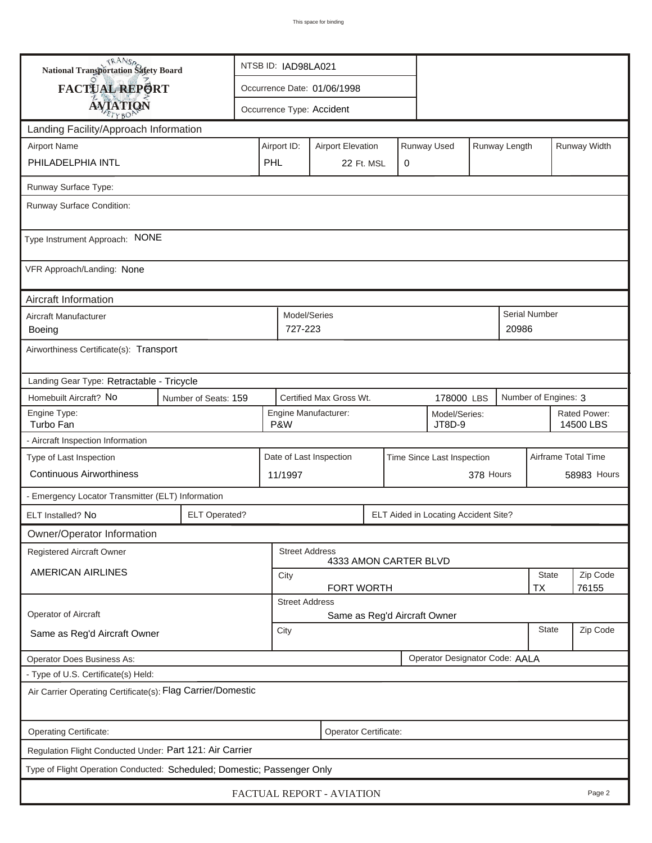| <b>National Transportation Safety Board</b>                             |                      | NTSB ID: IAD98LA021                                                     |                         |                         |  |           |                                      |  |                           |                      |              |          |
|-------------------------------------------------------------------------|----------------------|-------------------------------------------------------------------------|-------------------------|-------------------------|--|-----------|--------------------------------------|--|---------------------------|----------------------|--------------|----------|
| FACTUAL REPORT                                                          |                      | Occurrence Date: 01/06/1998                                             |                         |                         |  |           |                                      |  |                           |                      |              |          |
| <b>AVIATION</b>                                                         |                      | Occurrence Type: Accident                                               |                         |                         |  |           |                                      |  |                           |                      |              |          |
| Landing Facility/Approach Information                                   |                      |                                                                         |                         |                         |  |           |                                      |  |                           |                      |              |          |
| <b>Airport Name</b>                                                     |                      | Runway Used<br>Runway Length<br>Airport ID:<br><b>Airport Elevation</b> |                         |                         |  |           |                                      |  |                           |                      | Runway Width |          |
| PHILADELPHIA INTL                                                       |                      | PHL                                                                     |                         | 22 Ft. MSL              |  | 0         |                                      |  |                           |                      |              |          |
| Runway Surface Type:                                                    |                      |                                                                         |                         |                         |  |           |                                      |  |                           |                      |              |          |
| Runway Surface Condition:                                               |                      |                                                                         |                         |                         |  |           |                                      |  |                           |                      |              |          |
| Type Instrument Approach: NONE                                          |                      |                                                                         |                         |                         |  |           |                                      |  |                           |                      |              |          |
| VFR Approach/Landing: None                                              |                      |                                                                         |                         |                         |  |           |                                      |  |                           |                      |              |          |
| Aircraft Information                                                    |                      |                                                                         |                         |                         |  |           |                                      |  |                           |                      |              |          |
| Aircraft Manufacturer<br><b>Boeing</b>                                  |                      |                                                                         | Model/Series<br>727-223 |                         |  |           |                                      |  | 20986                     | Serial Number        |              |          |
| Airworthiness Certificate(s): Transport                                 |                      |                                                                         |                         |                         |  |           |                                      |  |                           |                      |              |          |
| Landing Gear Type: Retractable - Tricycle                               |                      |                                                                         |                         |                         |  |           |                                      |  |                           |                      |              |          |
| Homebuilt Aircraft? No                                                  | Number of Seats: 159 |                                                                         |                         | Certified Max Gross Wt. |  |           | 178000 LBS                           |  |                           | Number of Engines: 3 |              |          |
| Engine Type:<br>Turbo Fan                                               |                      | Engine Manufacturer:<br>Model/Series:<br>P&W<br>JT8D-9                  |                         |                         |  |           |                                      |  | Rated Power:<br>14500 LBS |                      |              |          |
| - Aircraft Inspection Information                                       |                      |                                                                         |                         |                         |  |           |                                      |  |                           |                      |              |          |
| Type of Last Inspection                                                 |                      | Date of Last Inspection<br>Time Since Last Inspection                   |                         |                         |  |           |                                      |  | Airframe Total Time       |                      |              |          |
| <b>Continuous Airworthiness</b>                                         |                      |                                                                         | 11/1997                 |                         |  | 378 Hours |                                      |  |                           | 58983 Hours          |              |          |
| - Emergency Locator Transmitter (ELT) Information                       |                      |                                                                         |                         |                         |  |           |                                      |  |                           |                      |              |          |
| ELT Installed? No                                                       | <b>ELT Operated?</b> |                                                                         |                         |                         |  |           | ELT Aided in Locating Accident Site? |  |                           |                      |              |          |
| Owner/Operator Information                                              |                      |                                                                         |                         |                         |  |           |                                      |  |                           |                      |              |          |
| Registered Aircraft Owner                                               |                      |                                                                         | <b>Street Address</b>   | 4333 AMON CARTER BLVD   |  |           |                                      |  |                           |                      |              |          |
| AMERICAN AIRLINES                                                       |                      | City                                                                    |                         |                         |  |           |                                      |  |                           | <b>State</b>         |              | Zip Code |
|                                                                         |                      | FORT WORTH<br><b>TX</b><br>76155<br><b>Street Address</b>               |                         |                         |  |           |                                      |  |                           |                      |              |          |
| Operator of Aircraft                                                    |                      |                                                                         |                         |                         |  |           | Same as Reg'd Aircraft Owner         |  |                           |                      |              |          |
| Same as Reg'd Aircraft Owner                                            |                      | <b>State</b><br>City                                                    |                         |                         |  |           |                                      |  |                           | Zip Code             |              |          |
| <b>Operator Does Business As:</b>                                       |                      |                                                                         |                         |                         |  |           | Operator Designator Code: AALA       |  |                           |                      |              |          |
| - Type of U.S. Certificate(s) Held:                                     |                      |                                                                         |                         |                         |  |           |                                      |  |                           |                      |              |          |
| Air Carrier Operating Certificate(s): Flag Carrier/Domestic             |                      |                                                                         |                         |                         |  |           |                                      |  |                           |                      |              |          |
| Operating Certificate:<br>Operator Certificate:                         |                      |                                                                         |                         |                         |  |           |                                      |  |                           |                      |              |          |
| Regulation Flight Conducted Under: Part 121: Air Carrier                |                      |                                                                         |                         |                         |  |           |                                      |  |                           |                      |              |          |
| Type of Flight Operation Conducted: Scheduled; Domestic; Passenger Only |                      |                                                                         |                         |                         |  |           |                                      |  |                           |                      |              |          |
| FACTUAL REPORT - AVIATION<br>Page 2                                     |                      |                                                                         |                         |                         |  |           |                                      |  |                           |                      |              |          |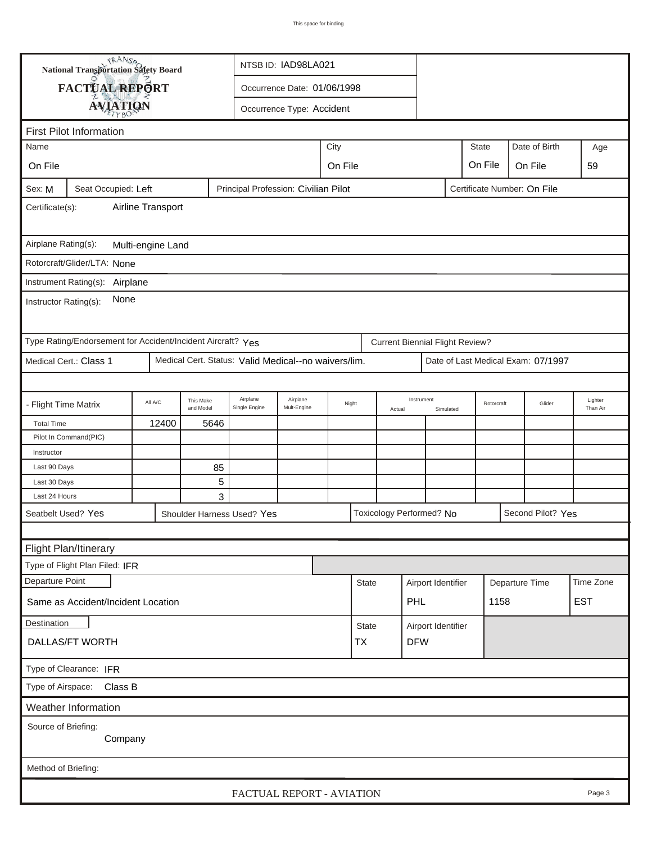|                                                                                                      | TRANSA<br><b>National Transportation Safety Board</b>       | NTSB ID: IAD98LA021 |                        |                                                      |                               |       |                  |        |                                        |                    |            |      |                                    |                     |
|------------------------------------------------------------------------------------------------------|-------------------------------------------------------------|---------------------|------------------------|------------------------------------------------------|-------------------------------|-------|------------------|--------|----------------------------------------|--------------------|------------|------|------------------------------------|---------------------|
|                                                                                                      | FACTUAL REPORT<br>Occurrence Date: 01/06/1998               |                     |                        |                                                      |                               |       |                  |        |                                        |                    |            |      |                                    |                     |
|                                                                                                      | <b>AVIATION</b>                                             |                     |                        | Occurrence Type: Accident                            |                               |       |                  |        |                                        |                    |            |      |                                    |                     |
|                                                                                                      | <b>First Pilot Information</b>                              |                     |                        |                                                      |                               |       |                  |        |                                        |                    |            |      |                                    |                     |
| City<br><b>State</b><br>Date of Birth<br>Name<br>Age                                                 |                                                             |                     |                        |                                                      |                               |       |                  |        |                                        |                    |            |      |                                    |                     |
|                                                                                                      |                                                             |                     |                        |                                                      |                               |       |                  |        |                                        |                    |            |      |                                    |                     |
| On File                                                                                              |                                                             |                     |                        |                                                      | On File<br>On File<br>On File |       |                  |        |                                        |                    |            |      |                                    | 59                  |
| Sex: M<br>Seat Occupied: Left<br>Principal Profession: Civilian Pilot<br>Certificate Number: On File |                                                             |                     |                        |                                                      |                               |       |                  |        |                                        |                    |            |      |                                    |                     |
| Airline Transport<br>Certificate(s):                                                                 |                                                             |                     |                        |                                                      |                               |       |                  |        |                                        |                    |            |      |                                    |                     |
| Airplane Rating(s):<br>Multi-engine Land                                                             |                                                             |                     |                        |                                                      |                               |       |                  |        |                                        |                    |            |      |                                    |                     |
|                                                                                                      | Rotorcraft/Glider/LTA: None                                 |                     |                        |                                                      |                               |       |                  |        |                                        |                    |            |      |                                    |                     |
| Instrument Rating(s):                                                                                |                                                             |                     |                        |                                                      |                               |       |                  |        |                                        |                    |            |      |                                    |                     |
|                                                                                                      | Airplane                                                    |                     |                        |                                                      |                               |       |                  |        |                                        |                    |            |      |                                    |                     |
| Instructor Rating(s):                                                                                | None                                                        |                     |                        |                                                      |                               |       |                  |        |                                        |                    |            |      |                                    |                     |
|                                                                                                      | Type Rating/Endorsement for Accident/Incident Aircraft? Yes |                     |                        |                                                      |                               |       |                  |        | <b>Current Biennial Flight Review?</b> |                    |            |      |                                    |                     |
| Medical Cert.: Class 1                                                                               |                                                             |                     |                        | Medical Cert. Status: Valid Medical--no waivers/lim. |                               |       |                  |        |                                        |                    |            |      | Date of Last Medical Exam: 07/1997 |                     |
|                                                                                                      |                                                             |                     |                        |                                                      |                               |       |                  |        |                                        |                    |            |      |                                    |                     |
| - Flight Time Matrix                                                                                 |                                                             | All A/C             | This Make<br>and Model | Airplane<br>Single Engine                            | Airplane<br>Mult-Engine       | Night |                  | Actual | Instrument<br>Simulated                |                    | Rotorcraft |      | Glider                             | Lighter<br>Than Air |
| <b>Total Time</b>                                                                                    |                                                             | 12400               | 5646                   |                                                      |                               |       |                  |        |                                        |                    |            |      |                                    |                     |
| Pilot In Command(PIC)                                                                                |                                                             |                     |                        |                                                      |                               |       |                  |        |                                        |                    |            |      |                                    |                     |
| Instructor                                                                                           |                                                             |                     |                        |                                                      |                               |       |                  |        |                                        |                    |            |      |                                    |                     |
| Last 90 Days                                                                                         |                                                             |                     | 85                     |                                                      |                               |       |                  |        |                                        |                    |            |      |                                    |                     |
| Last 30 Days                                                                                         |                                                             |                     | 5                      |                                                      |                               |       |                  |        |                                        |                    |            |      |                                    |                     |
| Last 24 Hours                                                                                        |                                                             |                     | 3                      |                                                      |                               |       |                  |        |                                        |                    |            |      |                                    |                     |
| Seatbelt Used? Yes                                                                                   |                                                             |                     |                        | Shoulder Harness Used? Yes                           |                               |       |                  |        | Toxicology Performed? No               |                    |            |      | Second Pilot? Yes                  |                     |
|                                                                                                      |                                                             |                     |                        |                                                      |                               |       |                  |        |                                        |                    |            |      |                                    |                     |
|                                                                                                      | Flight Plan/Itinerary                                       |                     |                        |                                                      |                               |       |                  |        |                                        |                    |            |      |                                    |                     |
|                                                                                                      | Type of Flight Plan Filed: IFR                              |                     |                        |                                                      |                               |       |                  |        |                                        |                    |            |      |                                    |                     |
| Departure Point                                                                                      |                                                             |                     |                        |                                                      |                               |       | <b>State</b>     |        | Airport Identifier                     |                    |            |      | Departure Time                     | Time Zone           |
|                                                                                                      | Same as Accident/Incident Location                          |                     |                        |                                                      |                               |       |                  |        | PHL                                    |                    |            | 1158 |                                    | <b>EST</b>          |
| <b>Destination</b>                                                                                   |                                                             |                     |                        |                                                      |                               |       | <b>State</b>     |        |                                        | Airport Identifier |            |      |                                    |                     |
| DALLAS/FT WORTH                                                                                      |                                                             |                     |                        |                                                      |                               |       | <b>DFW</b><br>TX |        |                                        |                    |            |      |                                    |                     |
| Type of Clearance: IFR                                                                               |                                                             |                     |                        |                                                      |                               |       |                  |        |                                        |                    |            |      |                                    |                     |
| Type of Airspace: Class B                                                                            |                                                             |                     |                        |                                                      |                               |       |                  |        |                                        |                    |            |      |                                    |                     |
| Weather Information                                                                                  |                                                             |                     |                        |                                                      |                               |       |                  |        |                                        |                    |            |      |                                    |                     |
| Source of Briefing:<br>Company                                                                       |                                                             |                     |                        |                                                      |                               |       |                  |        |                                        |                    |            |      |                                    |                     |
|                                                                                                      | Method of Briefing:                                         |                     |                        |                                                      |                               |       |                  |        |                                        |                    |            |      |                                    |                     |
| FACTUAL REPORT - AVIATION<br>Page 3                                                                  |                                                             |                     |                        |                                                      |                               |       |                  |        |                                        |                    |            |      |                                    |                     |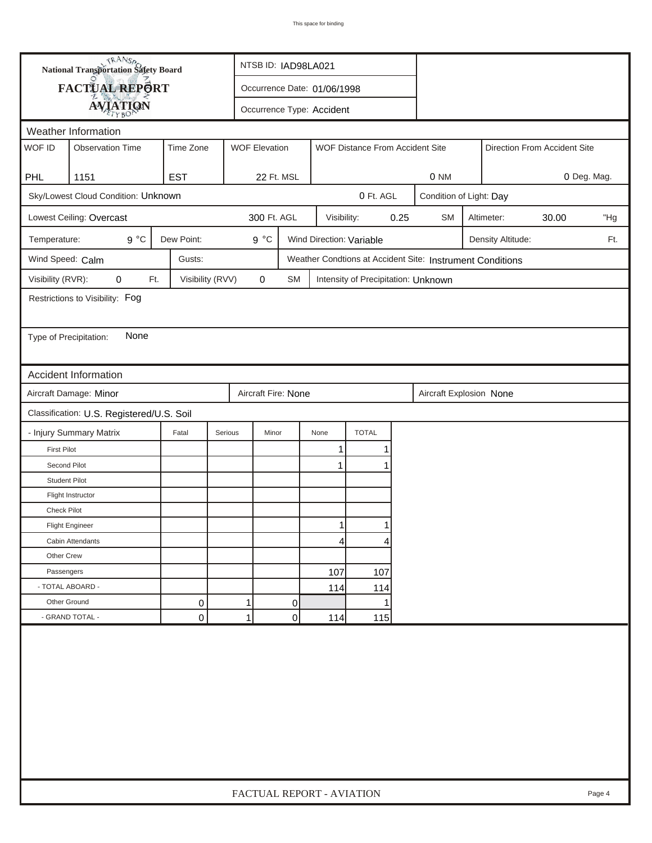|                        | <b>National Transportation Safety Board</b> |                  | NTSB ID: IAD98LA021         |                           |              |                                     |      |                                                           |                         |                   |  |     |  |
|------------------------|---------------------------------------------|------------------|-----------------------------|---------------------------|--------------|-------------------------------------|------|-----------------------------------------------------------|-------------------------|-------------------|--|-----|--|
|                        | FACTUAL REPORT                              |                  | Occurrence Date: 01/06/1998 |                           |              |                                     |      |                                                           |                         |                   |  |     |  |
|                        | <b>AVIATION</b>                             |                  |                             | Occurrence Type: Accident |              |                                     |      |                                                           |                         |                   |  |     |  |
|                        | Weather Information                         |                  |                             |                           |              |                                     |      |                                                           |                         |                   |  |     |  |
| WOF ID                 | <b>Observation Time</b>                     | Time Zone        | <b>WOF Elevation</b>        |                           |              | WOF Distance From Accident Site     |      | Direction From Accident Site                              |                         |                   |  |     |  |
|                        |                                             |                  |                             |                           |              |                                     |      |                                                           |                         |                   |  |     |  |
| <b>PHL</b>             | 1151                                        | <b>EST</b>       |                             | 22 Ft. MSL                |              |                                     |      | 0 Deg. Mag.<br>0 NM                                       |                         |                   |  |     |  |
|                        | Sky/Lowest Cloud Condition: Unknown         |                  |                             |                           |              | 0 Ft. AGL                           |      |                                                           | Condition of Light: Day |                   |  |     |  |
|                        | Lowest Ceiling: Overcast                    |                  |                             | 300 Ft. AGL               | Visibility:  |                                     | 0.25 | <b>SM</b>                                                 | "Hg                     |                   |  |     |  |
| Temperature:           | $9^{\circ}C$                                | Dew Point:       |                             | $9^{\circ}C$              |              | Wind Direction: Variable            |      |                                                           |                         | Density Altitude: |  | Ft. |  |
| Wind Speed: Calm       |                                             | Gusts:           |                             |                           |              |                                     |      | Weather Condtions at Accident Site: Instrument Conditions |                         |                   |  |     |  |
| Visibility (RVR):      | 0<br>Ft.                                    | Visibility (RVV) |                             | $\mathbf 0$<br><b>SM</b>  |              | Intensity of Precipitation: Unknown |      |                                                           |                         |                   |  |     |  |
|                        | Restrictions to Visibility: Fog             |                  |                             |                           |              |                                     |      |                                                           |                         |                   |  |     |  |
|                        |                                             |                  |                             |                           |              |                                     |      |                                                           |                         |                   |  |     |  |
| Type of Precipitation: | None                                        |                  |                             |                           |              |                                     |      |                                                           |                         |                   |  |     |  |
|                        |                                             |                  |                             |                           |              |                                     |      |                                                           |                         |                   |  |     |  |
|                        | <b>Accident Information</b>                 |                  |                             |                           |              |                                     |      |                                                           |                         |                   |  |     |  |
|                        | Aircraft Damage: Minor                      |                  |                             | Aircraft Fire: None       |              |                                     |      | Aircraft Explosion None                                   |                         |                   |  |     |  |
|                        | Classification: U.S. Registered/U.S. Soil   |                  |                             |                           |              |                                     |      |                                                           |                         |                   |  |     |  |
|                        | - Injury Summary Matrix                     | Fatal            | Serious                     | Minor                     | None         | <b>TOTAL</b>                        |      |                                                           |                         |                   |  |     |  |
| <b>First Pilot</b>     |                                             |                  |                             |                           | 1            |                                     |      |                                                           |                         |                   |  |     |  |
| Second Pilot           |                                             |                  |                             |                           | $\mathbf{1}$ |                                     |      |                                                           |                         |                   |  |     |  |
| <b>Student Pilot</b>   |                                             |                  |                             |                           |              |                                     |      |                                                           |                         |                   |  |     |  |
|                        | Flight Instructor                           |                  |                             |                           |              |                                     |      |                                                           |                         |                   |  |     |  |
| Check Pilot            |                                             |                  |                             |                           |              |                                     |      |                                                           |                         |                   |  |     |  |
|                        | <b>Flight Engineer</b>                      |                  |                             |                           | 1            |                                     |      |                                                           |                         |                   |  |     |  |
|                        | Cabin Attendants                            |                  |                             |                           | 4            | 4                                   |      |                                                           |                         |                   |  |     |  |
| Other Crew             |                                             |                  |                             |                           |              |                                     |      |                                                           |                         |                   |  |     |  |
| Passengers             |                                             |                  |                             |                           | 107          | 107                                 |      |                                                           |                         |                   |  |     |  |
| - TOTAL ABOARD -       |                                             |                  |                             |                           | 114          | 114                                 |      |                                                           |                         |                   |  |     |  |
| Other Ground           |                                             | 0                | 1                           | 0                         |              |                                     |      |                                                           |                         |                   |  |     |  |
|                        | - GRAND TOTAL -                             | 0                | 1                           | 0                         | 114          | 115                                 |      |                                                           |                         |                   |  |     |  |
|                        |                                             |                  |                             |                           |              |                                     |      |                                                           |                         |                   |  |     |  |
|                        | FACTUAL REPORT - AVIATION<br>Page 4         |                  |                             |                           |              |                                     |      |                                                           |                         |                   |  |     |  |